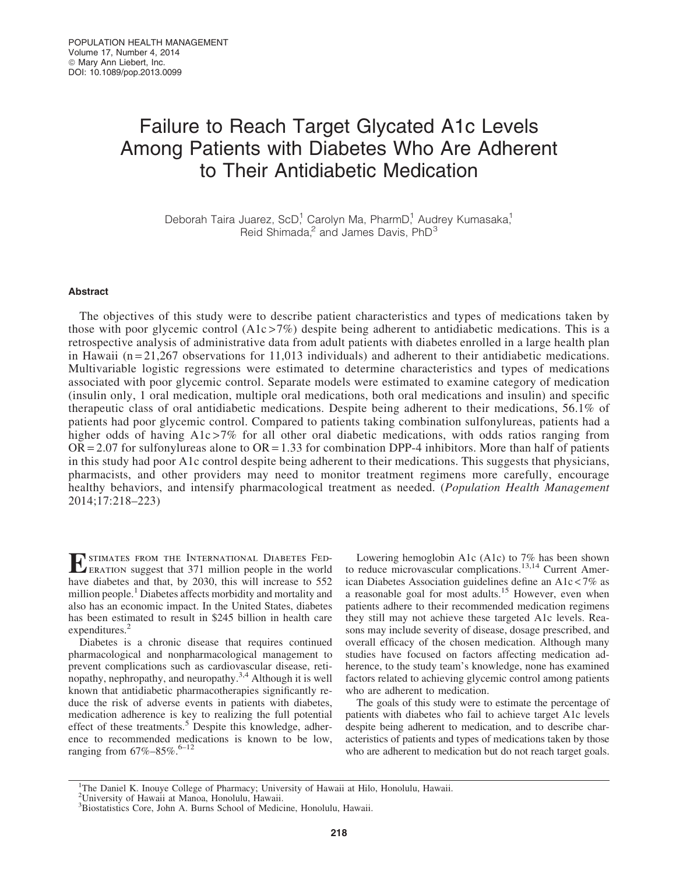# Failure to Reach Target Glycated A1c Levels Among Patients with Diabetes Who Are Adherent to Their Antidiabetic Medication

Deborah Taira Juarez, ScD,<sup>1</sup> Carolyn Ma, PharmD,<sup>1</sup> Audrey Kumasaka,<sup>1</sup> Reid Shimada, $^2$  and James Davis, PhD $^3$ 

# Abstract

The objectives of this study were to describe patient characteristics and types of medications taken by those with poor glycemic control  $(A1c > 7%)$  despite being adherent to antidiabetic medications. This is a retrospective analysis of administrative data from adult patients with diabetes enrolled in a large health plan in Hawaii  $(n=21,267)$  observations for 11,013 individuals) and adherent to their antidiabetic medications. Multivariable logistic regressions were estimated to determine characteristics and types of medications associated with poor glycemic control. Separate models were estimated to examine category of medication (insulin only, 1 oral medication, multiple oral medications, both oral medications and insulin) and specific therapeutic class of oral antidiabetic medications. Despite being adherent to their medications, 56.1% of patients had poor glycemic control. Compared to patients taking combination sulfonylureas, patients had a higher odds of having A1c >7% for all other oral diabetic medications, with odds ratios ranging from  $OR = 2.07$  for sulfonylureas alone to  $OR = 1.33$  for combination DPP-4 inhibitors. More than half of patients in this study had poor A1c control despite being adherent to their medications. This suggests that physicians, pharmacists, and other providers may need to monitor treatment regimens more carefully, encourage healthy behaviors, and intensify pharmacological treatment as needed. (*Population Health Management* 2014;17:218–223)

**EXECUTE:** FROM THE INTERNATIONAL DIABETES FED-<br>ERATION suggest that 371 million people in the world have diabetes and that, by 2030, this will increase to 552 million people.<sup>1</sup> Diabetes affects morbidity and mortality and also has an economic impact. In the United States, diabetes has been estimated to result in \$245 billion in health care expenditures.<sup>2</sup>

Diabetes is a chronic disease that requires continued pharmacological and nonpharmacological management to prevent complications such as cardiovascular disease, retinopathy, nephropathy, and neuropathy.3,4 Although it is well known that antidiabetic pharmacotherapies significantly reduce the risk of adverse events in patients with diabetes, medication adherence is key to realizing the full potential effect of these treatments.<sup>5</sup> Despite this knowledge, adherence to recommended medications is known to be low, ranging from  $67\% - 85\%$ .<sup>6–12</sup>

Lowering hemoglobin A1c (A1c) to 7% has been shown to reduce microvascular complications.<sup>13,14</sup> Current American Diabetes Association guidelines define an A1c < 7% as a reasonable goal for most adults.<sup>15</sup> However, even when patients adhere to their recommended medication regimens they still may not achieve these targeted A1c levels. Reasons may include severity of disease, dosage prescribed, and overall efficacy of the chosen medication. Although many studies have focused on factors affecting medication adherence, to the study team's knowledge, none has examined factors related to achieving glycemic control among patients who are adherent to medication.

The goals of this study were to estimate the percentage of patients with diabetes who fail to achieve target A1c levels despite being adherent to medication, and to describe characteristics of patients and types of medications taken by those who are adherent to medication but do not reach target goals.

<sup>&</sup>lt;sup>1</sup>The Daniel K. Inouye College of Pharmacy; University of Hawaii at Hilo, Honolulu, Hawaii.

<sup>2</sup> University of Hawaii at Manoa, Honolulu, Hawaii.

<sup>3</sup> Biostatistics Core, John A. Burns School of Medicine, Honolulu, Hawaii.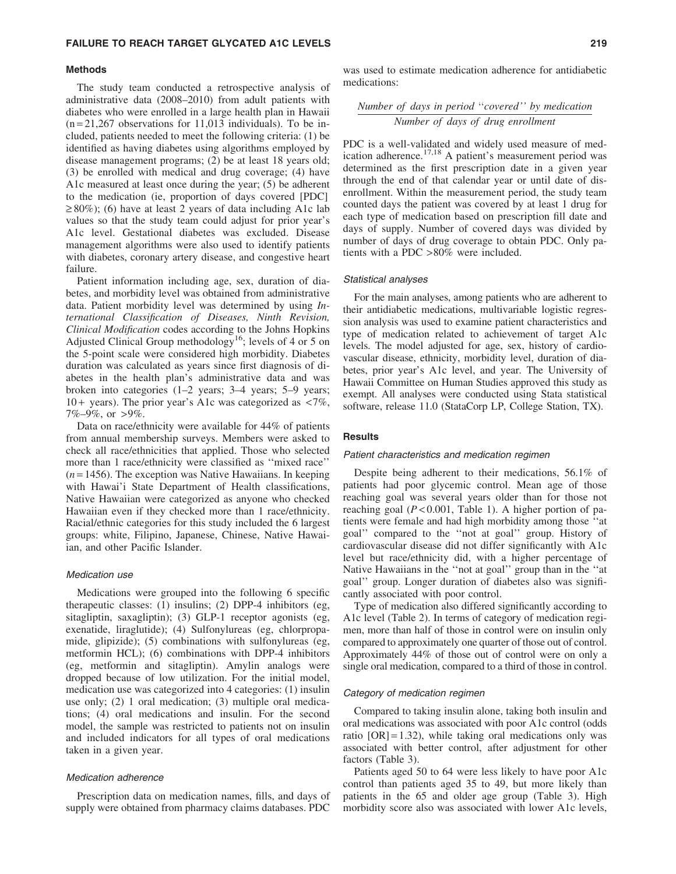#### Methods

The study team conducted a retrospective analysis of administrative data (2008–2010) from adult patients with diabetes who were enrolled in a large health plan in Hawaii  $(n=21,267)$  observations for 11,013 individuals). To be included, patients needed to meet the following criteria: (1) be identified as having diabetes using algorithms employed by disease management programs; (2) be at least 18 years old; (3) be enrolled with medical and drug coverage; (4) have A1c measured at least once during the year; (5) be adherent to the medication (ie, proportion of days covered [PDC]  $\geq$  80%); (6) have at least 2 years of data including A1c lab values so that the study team could adjust for prior year's A1c level. Gestational diabetes was excluded. Disease management algorithms were also used to identify patients with diabetes, coronary artery disease, and congestive heart failure.

Patient information including age, sex, duration of diabetes, and morbidity level was obtained from administrative data. Patient morbidity level was determined by using *International Classification of Diseases, Ninth Revision, Clinical Modification* codes according to the Johns Hopkins Adjusted Clinical Group methodology<sup>16</sup>; levels of 4 or 5 on the 5-point scale were considered high morbidity. Diabetes duration was calculated as years since first diagnosis of diabetes in the health plan's administrative data and was broken into categories (1–2 years; 3–4 years; 5–9 years; 10 + years). The prior year's A1c was categorized as  $\langle 7\% \rangle$ , 7%–9%, or >9%.

Data on race/ethnicity were available for 44% of patients from annual membership surveys. Members were asked to check all race/ethnicities that applied. Those who selected more than 1 race/ethnicity were classified as ''mixed race''  $(n=1456)$ . The exception was Native Hawaiians. In keeping with Hawai'i State Department of Health classifications, Native Hawaiian were categorized as anyone who checked Hawaiian even if they checked more than 1 race/ethnicity. Racial/ethnic categories for this study included the 6 largest groups: white, Filipino, Japanese, Chinese, Native Hawaiian, and other Pacific Islander.

## Medication use

Medications were grouped into the following 6 specific therapeutic classes: (1) insulins; (2) DPP-4 inhibitors (eg, sitagliptin, saxagliptin); (3) GLP-1 receptor agonists (eg, exenatide, liraglutide); (4) Sulfonylureas (eg, chlorpropamide, glipizide); (5) combinations with sulfonylureas (eg, metformin HCL); (6) combinations with DPP-4 inhibitors (eg, metformin and sitagliptin). Amylin analogs were dropped because of low utilization. For the initial model, medication use was categorized into 4 categories: (1) insulin use only; (2) 1 oral medication; (3) multiple oral medications; (4) oral medications and insulin. For the second model, the sample was restricted to patients not on insulin and included indicators for all types of oral medications taken in a given year.

#### Medication adherence

Prescription data on medication names, fills, and days of supply were obtained from pharmacy claims databases. PDC

was used to estimate medication adherence for antidiabetic medications:

*Number of days in period* ''*covered'' by medication Number of days of drug enrollment*

PDC is a well-validated and widely used measure of medication adherence.<sup>17,18</sup> A patient's measurement period was determined as the first prescription date in a given year through the end of that calendar year or until date of disenrollment. Within the measurement period, the study team counted days the patient was covered by at least 1 drug for each type of medication based on prescription fill date and days of supply. Number of covered days was divided by number of days of drug coverage to obtain PDC. Only patients with a PDC >80% were included.

### Statistical analyses

For the main analyses, among patients who are adherent to their antidiabetic medications, multivariable logistic regression analysis was used to examine patient characteristics and type of medication related to achievement of target A1c levels. The model adjusted for age, sex, history of cardiovascular disease, ethnicity, morbidity level, duration of diabetes, prior year's A1c level, and year. The University of Hawaii Committee on Human Studies approved this study as exempt. All analyses were conducted using Stata statistical software, release 11.0 (StataCorp LP, College Station, TX).

#### Results

## Patient characteristics and medication regimen

Despite being adherent to their medications, 56.1% of patients had poor glycemic control. Mean age of those reaching goal was several years older than for those not reaching goal (*P* < 0.001, Table 1). A higher portion of patients were female and had high morbidity among those ''at goal'' compared to the ''not at goal'' group. History of cardiovascular disease did not differ significantly with A1c level but race/ethnicity did, with a higher percentage of Native Hawaiians in the ''not at goal'' group than in the ''at goal'' group. Longer duration of diabetes also was significantly associated with poor control.

Type of medication also differed significantly according to A1c level (Table 2). In terms of category of medication regimen, more than half of those in control were on insulin only compared to approximately one quarter of those out of control. Approximately 44% of those out of control were on only a single oral medication, compared to a third of those in control.

#### Category of medication regimen

Compared to taking insulin alone, taking both insulin and oral medications was associated with poor A1c control (odds ratio  $[OR]=1.32$ ), while taking oral medications only was associated with better control, after adjustment for other factors (Table 3).

Patients aged 50 to 64 were less likely to have poor A1c control than patients aged 35 to 49, but more likely than patients in the 65 and older age group (Table 3). High morbidity score also was associated with lower A1c levels,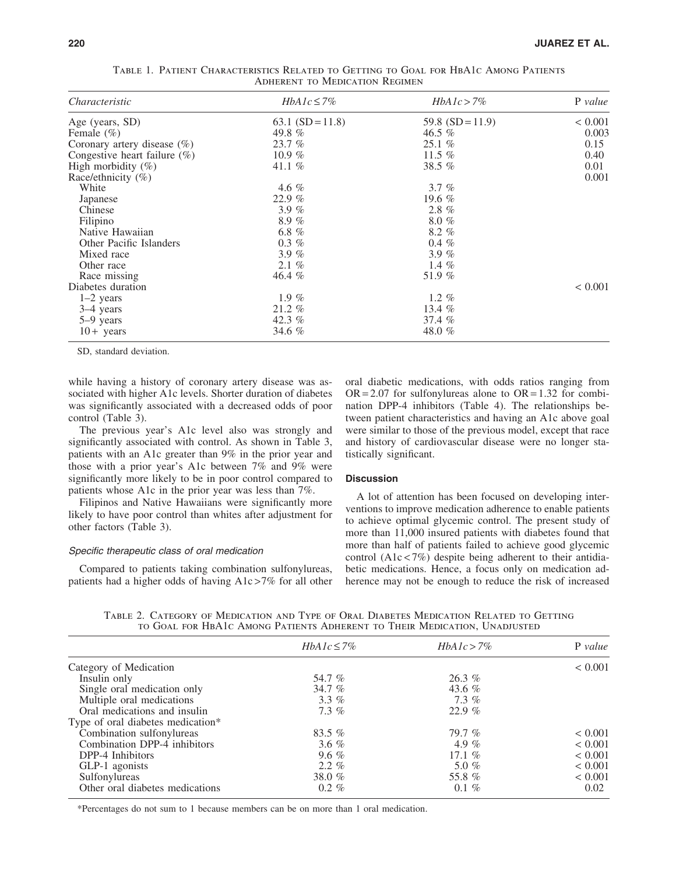| Characteristic                  | $HbA1c \leq 7\%$   | $HbA1c > 7\%$      | P value     |
|---------------------------------|--------------------|--------------------|-------------|
| Age (years, SD)                 | 63.1 $(SD = 11.8)$ | 59.8 $(SD = 11.9)$ | < 0.001     |
| Female $(\% )$                  | 49.8 %             | 46.5 $%$           | 0.003       |
| Coronary artery disease $(\%)$  | 23.7%              | 25.1%              | 0.15        |
| Congestive heart failure $(\%)$ | 10.9 $%$           | 11.5 $%$           | 0.40        |
| High morbidity $(\%)$           | 41.1 $%$           | 38.5 $%$           | 0.01        |
| Race/ethnicity (%)              |                    |                    | 0.001       |
| White                           | 4.6 $%$            | 3.7%               |             |
| Japanese                        | 22.9%              | 19.6 $%$           |             |
| Chinese                         | 3.9 $%$            | $2.8\%$            |             |
| Filipino                        | 8.9%               | $8.0 \%$           |             |
| Native Hawaiian                 | 6.8 %              | $8.2\%$            |             |
| Other Pacific Islanders         | $0.3 \%$           | $0.4 \%$           |             |
| Mixed race                      | 3.9%               | 3.9 $%$            |             |
| Other race                      | $2.1\%$            | 1.4 $%$            |             |
| Race missing                    | 46.4 %             | 51.9 %             |             |
| Diabetes duration               |                    |                    | ${}< 0.001$ |
| $1-2$ years                     | 1.9 $%$            | 1.2 $%$            |             |
| 3–4 years                       | 21.2 %             | 13.4 $%$           |             |
| $5-9$ years                     | 42.3 $%$           | 37.4%              |             |
| $10+$ years                     | 34.6 %             | 48.0 %             |             |

Table 1. Patient Characteristics Related to Getting to Goal for HbA1c Among Patients Adherent to Medication Regimen

SD, standard deviation.

while having a history of coronary artery disease was associated with higher A1c levels. Shorter duration of diabetes was significantly associated with a decreased odds of poor control (Table 3).

The previous year's A1c level also was strongly and significantly associated with control. As shown in Table 3, patients with an A1c greater than 9% in the prior year and those with a prior year's A1c between 7% and 9% were significantly more likely to be in poor control compared to patients whose A1c in the prior year was less than 7%.

Filipinos and Native Hawaiians were significantly more likely to have poor control than whites after adjustment for other factors (Table 3).

## Specific therapeutic class of oral medication

Compared to patients taking combination sulfonylureas, patients had a higher odds of having A1c >7% for all other oral diabetic medications, with odds ratios ranging from  $OR = 2.07$  for sulfonylureas alone to  $OR = 1.32$  for combination DPP-4 inhibitors (Table 4). The relationships between patient characteristics and having an A1c above goal were similar to those of the previous model, except that race and history of cardiovascular disease were no longer statistically significant.

## **Discussion**

A lot of attention has been focused on developing interventions to improve medication adherence to enable patients to achieve optimal glycemic control. The present study of more than 11,000 insured patients with diabetes found that more than half of patients failed to achieve good glycemic control  $(A1c < 7%)$  despite being adherent to their antidiabetic medications. Hence, a focus only on medication adherence may not be enough to reduce the risk of increased

Table 2. Category of Medication and Type of Oral Diabetes Medication Related to Getting to Goal for HbA1c Among Patients Adherent to Their Medication, Unadjusted

|                                   | $HbA1c \leq 7\%$ | $HbA1c > 7\%$ | P value     |
|-----------------------------------|------------------|---------------|-------------|
| Category of Medication            |                  |               | ${}< 0.001$ |
| Insulin only                      | 54.7 %           | $26.3\%$      |             |
| Single oral medication only       | 34.7 %           | 43.6 $%$      |             |
| Multiple oral medications         | $3.3\%$          | $7.3\%$       |             |
| Oral medications and insulin      | $7.3\%$          | 22.9%         |             |
| Type of oral diabetes medication* |                  |               |             |
| Combination sulfonylureas         | 83.5 $%$         | 79.7%         | ${}< 0.001$ |
| Combination DPP-4 inhibitors      | 3.6 $%$          | 4.9 %         | ${}< 0.001$ |
| DPP-4 Inhibitors                  | 9.6 $%$          | 17.1 $%$      | ${}< 0.001$ |
| GLP-1 agonists                    | $2.2\%$          | 5.0 $%$       | ${}< 0.001$ |
| Sulfonylureas                     | 38.0 $%$         | 55.8 %        | ${}< 0.001$ |
| Other oral diabetes medications   | $0.2 \%$         | $0.1 \%$      | 0.02        |

\*Percentages do not sum to 1 because members can be on more than 1 oral medication.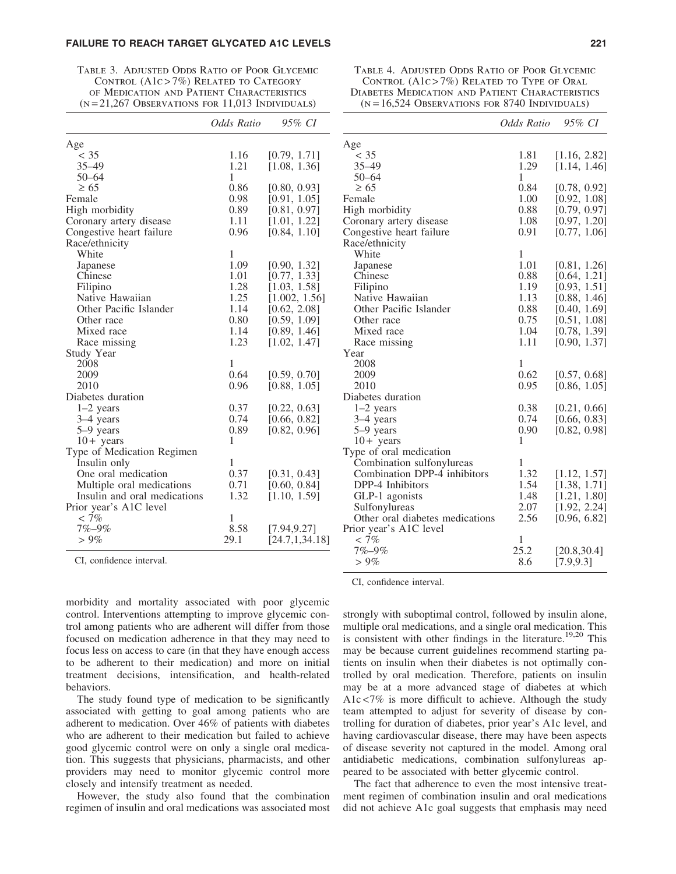## FAILURE TO REACH TARGET GLYCATED A1C LEVELS 221

| TABLE 3. ADJUSTED ODDS RATIO OF POOR GLYCEMIC    |
|--------------------------------------------------|
| CONTROL $(A1c > 7\%)$ RELATED TO CATEGORY        |
| OF MEDICATION AND PATIENT CHARACTERISTICS        |
| $(N=21,267$ Observations for 11,013 Individuals) |

|                              | Odds Ratio | 95% CI           |
|------------------------------|------------|------------------|
| Age                          |            |                  |
| $<$ 35                       | 1.16       | [0.79, 1.71]     |
| $35 - 49$                    | 1.21       | [1.08, 1.36]     |
| $50 - 64$                    | 1          |                  |
| $\geq 65$                    | 0.86       | [0.80, 0.93]     |
| Female                       | 0.98       | [0.91, 1.05]     |
| High morbidity               | 0.89       | [0.81, 0.97]     |
| Coronary artery disease      | 1.11       | [1.01, 1.22]     |
| Congestive heart failure     | 0.96       | [0.84, 1.10]     |
| Race/ethnicity               |            |                  |
| White                        | 1          |                  |
| Japanese                     | 1.09       | [0.90, 1.32]     |
| Chinese                      | 1.01       | [0.77, 1.33]     |
| Filipino                     | 1.28       | [1.03, 1.58]     |
| Native Hawaiian              | 1.25       | [1.002, 1.56]    |
| Other Pacific Islander       | 1.14       | [0.62, 2.08]     |
| Other race                   | 0.80       | [0.59, 1.09]     |
| Mixed race                   | 1.14       | [0.89, 1.46]     |
| Race missing                 | 1.23       | [1.02, 1.47]     |
| <b>Study Year</b>            |            |                  |
| 2008                         | 1          |                  |
| 2009                         | 0.64       | [0.59, 0.70]     |
| 2010                         | 0.96       | [0.88, 1.05]     |
| Diabetes duration            |            |                  |
| $1-2$ years                  | 0.37       | [0.22, 0.63]     |
| 3-4 years                    | 0.74       | [0.66, 0.82]     |
| 5-9 years                    | 0.89       | [0.82, 0.96]     |
| $10 + \text{years}$          | 1          |                  |
| Type of Medication Regimen   |            |                  |
| Insulin only                 | 1          |                  |
| One oral medication          | 0.37       | [0.31, 0.43]     |
| Multiple oral medications    | 0.71       | [0.60, 0.84]     |
| Insulin and oral medications | 1.32       | [1.10, 1.59]     |
| Prior year's A1C level       |            |                  |
| $< 7\%$                      | 1          |                  |
| $7% - 9%$                    | 8.58       | [7.94, 9.27]     |
| $> 9\%$                      | 29.1       | [24.7, 1, 34.18] |

CI, confidence interval.

morbidity and mortality associated with poor glycemic control. Interventions attempting to improve glycemic control among patients who are adherent will differ from those focused on medication adherence in that they may need to focus less on access to care (in that they have enough access to be adherent to their medication) and more on initial treatment decisions, intensification, and health-related behaviors.

The study found type of medication to be significantly associated with getting to goal among patients who are adherent to medication. Over 46% of patients with diabetes who are adherent to their medication but failed to achieve good glycemic control were on only a single oral medication. This suggests that physicians, pharmacists, and other providers may need to monitor glycemic control more closely and intensify treatment as needed.

However, the study also found that the combination regimen of insulin and oral medications was associated most

Table 4. Adjusted Odds Ratio of Poor Glycemic CONTROL  $(A1c > 7%)$  RELATED TO TYPE OF ORAL Diabetes Medication and Patient Characteristics  $(N = 16,524$  Observations for 8740 Individuals)

|                                 | Odds Ratio | 95% CI       |
|---------------------------------|------------|--------------|
| Age                             |            |              |
| $<$ 35                          | 1.81       | [1.16, 2.82] |
| $35 - 49$                       | 1.29       | [1.14, 1.46] |
| $50 - 64$                       | 1          |              |
| $\geq 65$                       | 0.84       | [0.78, 0.92] |
| Female                          | 1.00       | [0.92, 1.08] |
| High morbidity                  | 0.88       | [0.79, 0.97] |
| Coronary artery disease         | 1.08       | [0.97, 1.20] |
| Congestive heart failure        | 0.91       | [0.77, 1.06] |
| Race/ethnicity                  |            |              |
| White                           | 1          |              |
| Japanese                        | 1.01       | [0.81, 1.26] |
| Chinese                         | 0.88       | [0.64, 1.21] |
| Filipino                        | 1.19       | [0.93, 1.51] |
| Native Hawaiian                 | 1.13       | [0.88, 1.46] |
| Other Pacific Islander          | 0.88       | [0.40, 1.69] |
| Other race                      | 0.75       | [0.51, 1.08] |
| Mixed race                      | 1.04       | [0.78, 1.39] |
| Race missing                    | 1.11       | [0.90, 1.37] |
| Year                            |            |              |
| 2008                            | 1          |              |
| 2009                            | 0.62       | [0.57, 0.68] |
| 2010                            | 0.95       | [0.86, 1.05] |
| Diabetes duration               |            |              |
| $1-2$ years                     | 0.38       | [0.21, 0.66] |
| 3-4 years                       | 0.74       | [0.66, 0.83] |
| 5-9 years                       | 0.90       | [0.82, 0.98] |
| $10 +$ years                    | 1          |              |
| Type of oral medication         |            |              |
| Combination sulfonylureas       | 1          |              |
| Combination DPP-4 inhibitors    | 1.32       | [1.12, 1.57] |
| DPP-4 Inhibitors                | 1.54       | [1.38, 1.71] |
| GLP-1 agonists                  | 1.48       | [1.21, 1.80] |
| Sulfonylureas                   | 2.07       | [1.92, 2.24] |
| Other oral diabetes medications | 2.56       | [0.96, 6.82] |
| Prior year's A1C level          |            |              |
| $< 7\%$                         | 1          |              |
| 7%-9%                           | 25.2       | [20.8, 30.4] |
| $>9\%$                          | 8.6        | [7.9, 9.3]   |

CI, confidence interval.

strongly with suboptimal control, followed by insulin alone, multiple oral medications, and a single oral medication. This is consistent with other findings in the literature.<sup>19,20</sup> This may be because current guidelines recommend starting patients on insulin when their diabetes is not optimally controlled by oral medication. Therefore, patients on insulin may be at a more advanced stage of diabetes at which A1c <7% is more difficult to achieve. Although the study team attempted to adjust for severity of disease by controlling for duration of diabetes, prior year's A1c level, and having cardiovascular disease, there may have been aspects of disease severity not captured in the model. Among oral antidiabetic medications, combination sulfonylureas appeared to be associated with better glycemic control.

The fact that adherence to even the most intensive treatment regimen of combination insulin and oral medications did not achieve A1c goal suggests that emphasis may need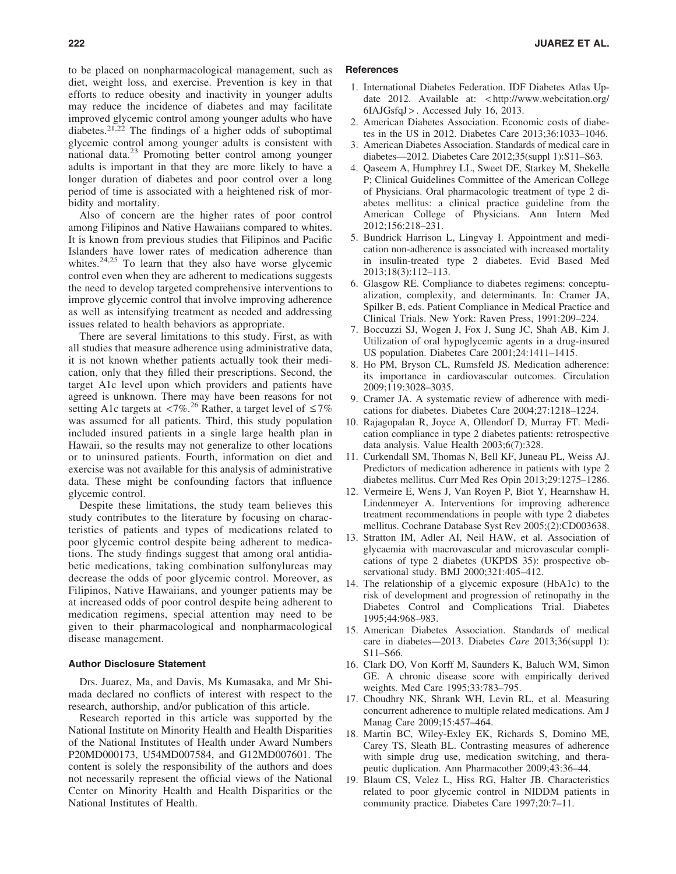to be placed on nonpharmacological management, such as diet, weight loss, and exercise. Prevention is key in that efforts to reduce obesity and inactivity in younger adults may reduce the incidence of diabetes and may facilitate improved glycemic control among younger adults who have diabetes.21,22 The findings of a higher odds of suboptimal glycemic control among younger adults is consistent with national data. $^{23}$  Promoting better control among younger adults is important in that they are more likely to have a longer duration of diabetes and poor control over a long period of time is associated with a heightened risk of morbidity and mortality.

Also of concern are the higher rates of poor control among Filipinos and Native Hawaiians compared to whites. It is known from previous studies that Filipinos and Pacific Islanders have lower rates of medication adherence than whites. $24,25$  To learn that they also have worse glycemic control even when they are adherent to medications suggests the need to develop targeted comprehensive interventions to improve glycemic control that involve improving adherence as well as intensifying treatment as needed and addressing issues related to health behaviors as appropriate.

There are several limitations to this study. First, as with all studies that measure adherence using administrative data, it is not known whether patients actually took their medication, only that they filled their prescriptions. Second, the target A1c level upon which providers and patients have agreed is unknown. There may have been reasons for not setting A1c targets at <7%.<sup>26</sup> Rather, a target level of  $\leq 7\%$ was assumed for all patients. Third, this study population included insured patients in a single large health plan in Hawaii, so the results may not generalize to other locations or to uninsured patients. Fourth, information on diet and exercise was not available for this analysis of administrative data. These might be confounding factors that influence glycemic control.

Despite these limitations, the study team believes this study contributes to the literature by focusing on characteristics of patients and types of medications related to poor glycemic control despite being adherent to medications. The study findings suggest that among oral antidiabetic medications, taking combination sulfonylureas may decrease the odds of poor glycemic control. Moreover, as Filipinos, Native Hawaiians, and younger patients may be at increased odds of poor control despite being adherent to medication regimens, special attention may need to be given to their pharmacological and nonpharmacological disease management.

#### Author Disclosure Statement

Drs. Juarez, Ma, and Davis, Ms Kumasaka, and Mr Shimada declared no conflicts of interest with respect to the research, authorship, and/or publication of this article.

Research reported in this article was supported by the National Institute on Minority Health and Health Disparities of the National Institutes of Health under Award Numbers P20MD000173, U54MD007584, and G12MD007601. The content is solely the responsibility of the authors and does not necessarily represent the official views of the National Center on Minority Health and Health Disparities or the National Institutes of Health.

# **References**

- 1. International Diabetes Federation. IDF Diabetes Atlas Update 2012. Available at: < http://www.webcitation.org/ 6IAJGsfqJ > . Accessed July 16, 2013.
- 2. American Diabetes Association. Economic costs of diabetes in the US in 2012. Diabetes Care 2013;36:1033–1046.
- 3. American Diabetes Association. Standards of medical care in diabetes—2012. Diabetes Care 2012;35(suppl 1):S11–S63.
- 4. Qaseem A, Humphrey LL, Sweet DE, Starkey M, Shekelle P; Clinical Guidelines Committee of the American College of Physicians. Oral pharmacologic treatment of type 2 diabetes mellitus: a clinical practice guideline from the American College of Physicians. Ann Intern Med 2012;156:218–231.
- 5. Bundrick Harrison L, Lingvay I. Appointment and medication non-adherence is associated with increased mortality in insulin-treated type 2 diabetes. Evid Based Med 2013;18(3):112–113.
- 6. Glasgow RE. Compliance to diabetes regimens: conceptualization, complexity, and determinants. In: Cramer JA, Spilker B, eds. Patient Compliance in Medical Practice and Clinical Trials. New York: Raven Press, 1991:209–224.
- 7. Boccuzzi SJ, Wogen J, Fox J, Sung JC, Shah AB, Kim J. Utilization of oral hypoglycemic agents in a drug-insured US population. Diabetes Care 2001;24:1411–1415.
- 8. Ho PM, Bryson CL, Rumsfeld JS. Medication adherence: its importance in cardiovascular outcomes. Circulation 2009;119:3028–3035.
- 9. Cramer JA. A systematic review of adherence with medications for diabetes. Diabetes Care 2004;27:1218–1224.
- 10. Rajagopalan R, Joyce A, Ollendorf D, Murray FT. Medication compliance in type 2 diabetes patients: retrospective data analysis. Value Health 2003;6(7):328.
- 11. Curkendall SM, Thomas N, Bell KF, Juneau PL, Weiss AJ. Predictors of medication adherence in patients with type 2 diabetes mellitus. Curr Med Res Opin 2013;29:1275–1286.
- 12. Vermeire E, Wens J, Van Royen P, Biot Y, Hearnshaw H, Lindenmeyer A. Interventions for improving adherence treatment recommendations in people with type 2 diabetes mellitus. Cochrane Database Syst Rev 2005;(2):CD003638.
- 13. Stratton IM, Adler AI, Neil HAW, et al. Association of glycaemia with macrovascular and microvascular complications of type 2 diabetes (UKPDS 35): prospective observational study. BMJ 2000;321:405–412.
- 14. The relationship of a glycemic exposure (HbA1c) to the risk of development and progression of retinopathy in the Diabetes Control and Complications Trial. Diabetes 1995;44:968–983.
- 15. American Diabetes Association. Standards of medical care in diabetes*—*2013. Diabetes *Care* 2013;36(suppl 1): S11–S66.
- 16. Clark DO, Von Korff M, Saunders K, Baluch WM, Simon GE. A chronic disease score with empirically derived weights. Med Care 1995;33:783–795.
- 17. Choudhry NK, Shrank WH, Levin RL, et al. Measuring concurrent adherence to multiple related medications. Am J Manag Care 2009;15:457–464.
- 18. Martin BC, Wiley-Exley EK, Richards S, Domino ME, Carey TS, Sleath BL. Contrasting measures of adherence with simple drug use, medication switching, and therapeutic duplication. Ann Pharmacother 2009;43:36–44.
- 19. Blaum CS, Velez L, Hiss RG, Halter JB. Characteristics related to poor glycemic control in NIDDM patients in community practice. Diabetes Care 1997;20:7–11.